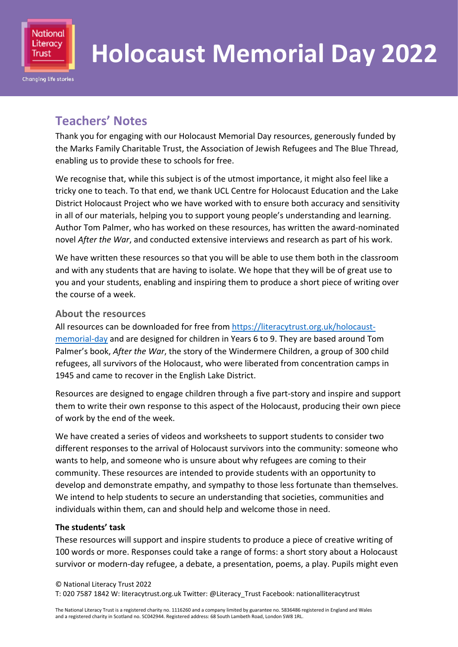

# **Holocaust Memorial Day 2022**

# **Teachers' Notes**

Thank you for engaging with our Holocaust Memorial Day resources, generously funded by the Marks Family Charitable Trust, the Association of Jewish Refugees and The Blue Thread, enabling us to provide these to schools for free.

We recognise that, while this subject is of the utmost importance, it might also feel like a tricky one to teach. To that end, we thank UCL Centre for Holocaust Education and the Lake District Holocaust Project who we have worked with to ensure both accuracy and sensitivity in all of our materials, helping you to support young people's understanding and learning. Author Tom Palmer, who has worked on these resources, has written the award-nominated novel *After the War*, and conducted extensive interviews and research as part of his work.

We have written these resources so that you will be able to use them both in the classroom and with any students that are having to isolate. We hope that they will be of great use to you and your students, enabling and inspiring them to produce a short piece of writing over the course of a week.

#### **About the resources**

All resources can be downloaded for free fro[m https://literacytrust.org.uk/holocaust](https://literacytrust.org.uk/holocaust-memorial-day)[memorial-day](https://literacytrust.org.uk/holocaust-memorial-day) and are designed for children in Years 6 to 9. They are based around Tom Palmer's book, *After the War*, the story of the Windermere Children, a group of 300 child refugees, all survivors of the Holocaust, who were liberated from concentration camps in 1945 and came to recover in the English Lake District.

Resources are designed to engage children through a five part-story and inspire and support them to write their own response to this aspect of the Holocaust, producing their own piece of work by the end of the week.

We have created a series of videos and worksheets to support students to consider two different responses to the arrival of Holocaust survivors into the community: someone who wants to help, and someone who is unsure about why refugees are coming to their community. These resources are intended to provide students with an opportunity to develop and demonstrate empathy, and sympathy to those less fortunate than themselves. We intend to help students to secure an understanding that societies, communities and individuals within them, can and should help and welcome those in need.

#### **The students' task**

These resources will support and inspire students to produce a piece of creative writing of 100 words or more. Responses could take a range of forms: a short story about a Holocaust survivor or modern-day refugee, a debate, a presentation, poems, a play. Pupils might even

#### © National Literacy Trust 2022

T: 020 7587 1842 W: literacytrust.org.uk Twitter: @Literacy\_Trust Facebook: nationalliteracytrust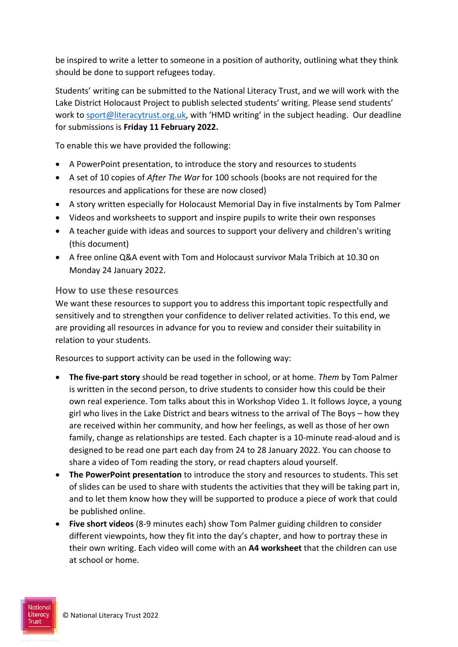be inspired to write a letter to someone in a position of authority, outlining what they think should be done to support refugees today.

Students' writing can be submitted to the National Literacy Trust, and we will work with the Lake District Holocaust Project to publish selected students' writing. Please send students' work to [sport@literacytrust.org.uk](mailto:sport@literacytrust.org.uk), with 'HMD writing' in the subject heading. Our deadline for submissions is **Friday 11 February 2022.**

To enable this we have provided the following:

- A PowerPoint presentation, to introduce the story and resources to students
- A set of 10 copies of *After The War* for 100 schools (books are not required for the resources and applications for these are now closed)
- A story written especially for Holocaust Memorial Day in five instalments by Tom Palmer
- Videos and worksheets to support and inspire pupils to write their own responses
- A teacher guide with ideas and sources to support your delivery and children's writing (this document)
- A free online Q&A event with Tom and Holocaust survivor Mala Tribich at 10.30 on Monday 24 January 2022.

#### **How to use these resources**

We want these resources to support you to address this important topic respectfully and sensitively and to strengthen your confidence to deliver related activities. To this end, we are providing all resources in advance for you to review and consider their suitability in relation to your students.

Resources to support activity can be used in the following way:

- **The five-part story** should be read together in school, or at home. *Them* by Tom Palmer is written in the second person, to drive students to consider how this could be their own real experience. Tom talks about this in Workshop Video 1. It follows Joyce, a young girl who lives in the Lake District and bears witness to the arrival of The Boys – how they are received within her community, and how her feelings, as well as those of her own family, change as relationships are tested. Each chapter is a 10-minute read-aloud and is designed to be read one part each day from 24 to 28 January 2022. You can choose to share a video of Tom reading the story, or read chapters aloud yourself.
- **The PowerPoint presentation** to introduce the story and resources to students. This set of slides can be used to share with students the activities that they will be taking part in, and to let them know how they will be supported to produce a piece of work that could be published online.
- **Five short videos** (8-9 minutes each) show Tom Palmer guiding children to consider different viewpoints, how they fit into the day's chapter, and how to portray these in their own writing. Each video will come with an **A4 worksheet** that the children can use at school or home.

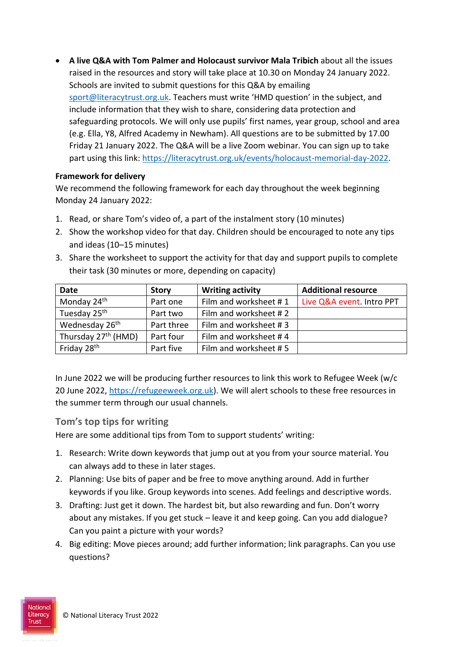**A live Q&A with Tom Palmer and Holocaust survivor Mala Tribich** about all the issues raised in the resources and story will take place at 10.30 on Monday 24 January 2022. Schools are invited to submit questions for this Q&A by emailing [sport@literacytrust.org.uk.](mailto:sport@literacytrust.org.uk?subject=HMD%20Question) Teachers must write 'HMD question' in the subject, and include information that they wish to share, considering data protection and safeguarding protocols. We will only use pupils' first names, year group, school and area (e.g. Ella, Y8, Alfred Academy in Newham). All questions are to be submitted by 17.00 Friday 21 January 2022. The Q&A will be a live Zoom webinar. You can sign up to take part using this link: [https://literacytrust.org.uk/events/holocaust-memorial-day-2022.](https://literacytrust.org.uk/events/holocaust-memorial-day-2022)

#### **Framework for delivery**

We recommend the following framework for each day throughout the week beginning Monday 24 January 2022:

- 1. Read, or share Tom's video of, a part of the instalment story (10 minutes)
- 2. Show the workshop video for that day. Children should be encouraged to note any tips and ideas (10–15 minutes)
- 3. Share the worksheet to support the activity for that day and support pupils to complete their task (30 minutes or more, depending on capacity)

| <b>Date</b>                     | <b>Story</b> | <b>Writing activity</b> | <b>Additional resource</b> |
|---------------------------------|--------------|-------------------------|----------------------------|
| Monday 24 <sup>th</sup>         | Part one     | Film and worksheet #1   | Live Q&A event. Intro PPT  |
| Tuesday 25th                    | Part two     | Film and worksheet #2   |                            |
| Wednesday 26 <sup>th</sup>      | Part three   | Film and worksheet #3   |                            |
| Thursday 27 <sup>th</sup> (HMD) | Part four    | Film and worksheet #4   |                            |
| Friday 28 <sup>th</sup>         | Part five    | Film and worksheet #5   |                            |

In June 2022 we will be producing further resources to link this work to Refugee Week (w/c 20 June 2022, [https://refugeeweek.org.uk\)](https://refugeeweek.org.uk/). We will alert schools to these free resources in the summer term through our usual channels.

### **Tom's top tips for writing**

Here are some additional tips from Tom to support students' writing:

- 1. Research: Write down keywords that jump out at you from your source material. You can always add to these in later stages.
- 2. Planning: Use bits of paper and be free to move anything around. Add in further keywords if you like. Group keywords into scenes. Add feelings and descriptive words.
- 3. Drafting: Just get it down. The hardest bit, but also rewarding and fun. Don't worry about any mistakes. If you get stuck – leave it and keep going. Can you add dialogue? Can you paint a picture with your words?
- 4. Big editing: Move pieces around; add further information; link paragraphs. Can you use questions?

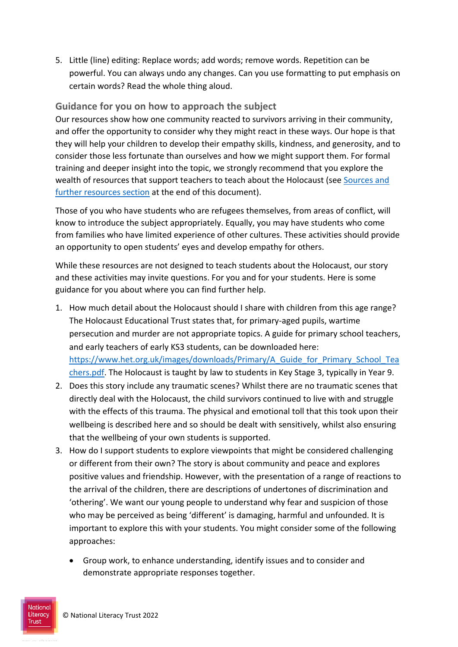5. Little (line) editing: Replace words; add words; remove words. Repetition can be powerful. You can always undo any changes. Can you use formatting to put emphasis on certain words? Read the whole thing aloud.

## **Guidance for you on how to approach the subject**

Our resources show how one community reacted to survivors arriving in their community, and offer the opportunity to consider why they might react in these ways. Our hope is that they will help your children to develop their empathy skills, kindness, and generosity, and to consider those less fortunate than ourselves and how we might support them. For formal training and deeper insight into the topic, we strongly recommend that you explore the wealth of resources that support teachers to teach about the Holocaust (see [Sources and](#page-4-0)  [further resources section](#page-4-0) at the end of this document).

Those of you who have students who are refugees themselves, from areas of conflict, will know to introduce the subject appropriately. Equally, you may have students who come from families who have limited experience of other cultures. These activities should provide an opportunity to open students' eyes and develop empathy for others.

While these resources are not designed to teach students about the Holocaust, our story and these activities may invite questions. For you and for your students. Here is some guidance for you about where you can find further help.

- 1. How much detail about the Holocaust should I share with children from this age range? The Holocaust Educational Trust states that, for primary-aged pupils, wartime persecution and murder are not appropriate topics. A guide for primary school teachers, and early teachers of early KS3 students, can be downloaded here: [https://www.het.org.uk/images/downloads/Primary/A\\_Guide\\_for\\_Primary\\_School\\_Tea](https://www.het.org.uk/images/downloads/Primary/A_Guide_for_Primary_School_Teachers.pdf) [chers.pdf.](https://www.het.org.uk/images/downloads/Primary/A_Guide_for_Primary_School_Teachers.pdf) The Holocaust is taught by law to students in Key Stage 3, typically in Year 9.
- 2. Does this story include any traumatic scenes? Whilst there are no traumatic scenes that directly deal with the Holocaust, the child survivors continued to live with and struggle with the effects of this trauma. The physical and emotional toll that this took upon their wellbeing is described here and so should be dealt with sensitively, whilst also ensuring that the wellbeing of your own students is supported.
- 3. How do I support students to explore viewpoints that might be considered challenging or different from their own? The story is about community and peace and explores positive values and friendship. However, with the presentation of a range of reactions to the arrival of the children, there are descriptions of undertones of discrimination and 'othering'. We want our young people to understand why fear and suspicion of those who may be perceived as being 'different' is damaging, harmful and unfounded. It is important to explore this with your students. You might consider some of the following approaches:
	- Group work, to enhance understanding, identify issues and to consider and demonstrate appropriate responses together.

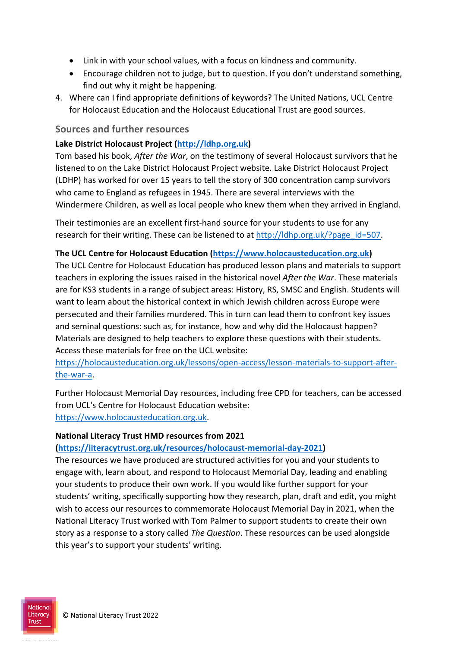- Link in with your school values, with a focus on kindness and community.
- Encourage children not to judge, but to question. If you don't understand something, find out why it might be happening.
- 4. Where can I find appropriate definitions of keywords? The United Nations, UCL Centre for Holocaust Education and the Holocaust Educational Trust are good sources.

#### **Sources and further resources**

#### **Lake District Holocaust Project [\(http://ldhp.org.uk\)](http://ldhp.org.uk/)**

Tom based his book, *After the War*, on the testimony of several Holocaust survivors that he listened to on the Lake District Holocaust Project website. Lake District Holocaust Project (LDHP) has worked for over 15 years to tell the story of 300 concentration camp survivors who came to England as refugees in 1945. There are several interviews with the Windermere Children, as well as local people who knew them when they arrived in England.

Their testimonies are an excellent first-hand source for your students to use for any research for their writing. These can be listened to at http://ldhp.org.uk/?page id=507.

#### <span id="page-4-0"></span>**The UCL Centre for Holocaust Education [\(https://www.holocausteducation.org.uk\)](https://www.holocausteducation.org.uk/)**

The UCL Centre for Holocaust Education has produced lesson plans and materials to support teachers in exploring the issues raised in the historical novel *After the War*. These materials are for KS3 students in a range of subject areas: History, RS, SMSC and English. Students will want to learn about the historical context in which Jewish children across Europe were persecuted and their families murdered. This in turn can lead them to confront key issues and seminal questions: such as, for instance, how and why did the Holocaust happen? Materials are designed to help teachers to explore these questions with their students. Access these materials for free on the UCL website:

[https://holocausteducation.org.uk/lessons/open-access/lesson-materials-to-support-after](https://holocausteducation.org.uk/lessons/open-access/lesson-materials-to-support-after-the-war-a)[the-war-a.](https://holocausteducation.org.uk/lessons/open-access/lesson-materials-to-support-after-the-war-a)

Further Holocaust Memorial Day resources, including free CPD for teachers, can be accessed from UCL's Centre for Holocaust Education website: [https://www.holocausteducation.org.uk.](https://www.holocausteducation.org.uk/)

#### **National Literacy Trust HMD resources from 2021**

#### **[\(https://literacytrust.org.uk/resources/holocaust-memorial-day-2021\)](https://literacytrust.org.uk/resources/holocaust-memorial-day-2021)**

The resources we have produced are structured activities for you and your students to engage with, learn about, and respond to Holocaust Memorial Day, leading and enabling your students to produce their own work. If you would like further support for your students' writing, specifically supporting how they research, plan, draft and edit, you might wish to access our resources to commemorate Holocaust Memorial Day in 2021, when the National Literacy Trust worked with Tom Palmer to support students to create their own story as a response to a story called *The Question*. These resources can be used alongside this year's to support your students' writing.